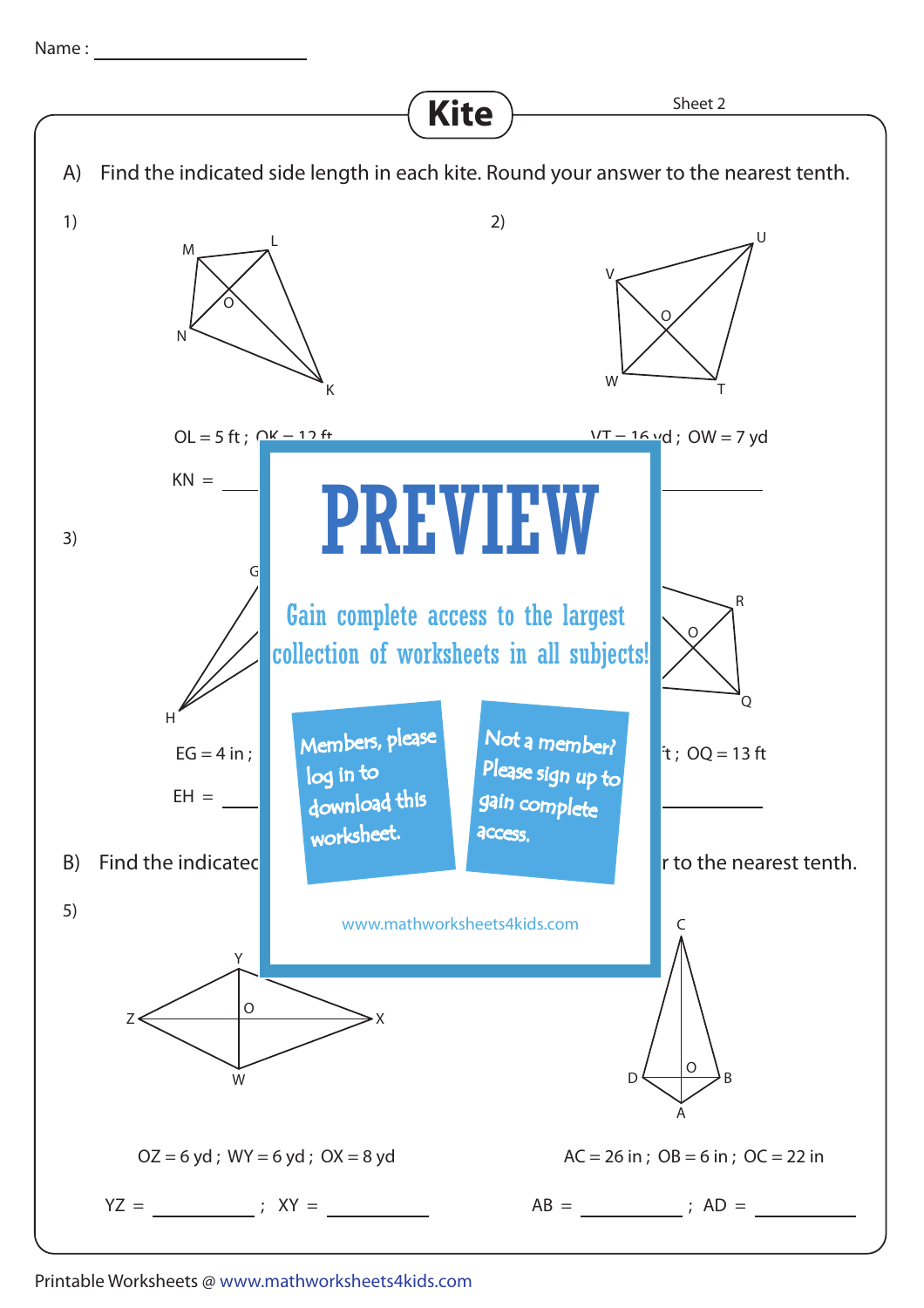